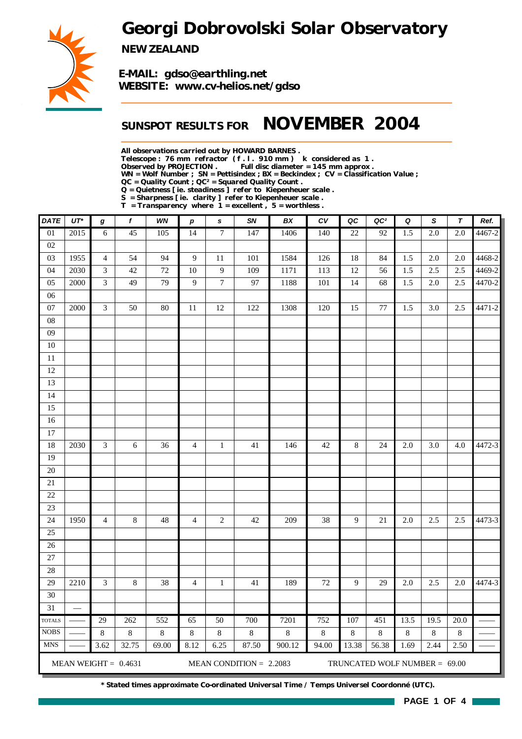## *Georgi Dobrovolski Solar Observatory*



*NEW ZEALAND*

*E-MAIL: gdso@earthling.net WEBSITE: www.cv-helios.net/gdso*

## *SUNSPOT RESULTS FOR NOVEMBER 2004*

*All observations carried out by HOWARD BARNES .*

*Telescope : 76 mm refractor ( f . l . 910 mm ) k considered as 1 .*

Full disc diameter = 145 mm approx .

*WN = Wolf Number ; SN = Pettisindex ; BX = Beckindex ; CV = Classification Value ;*

*QC = Quality Count ; QC² = Squared Quality Count .*

*Q = Quietness [ ie. steadiness ] refer to Kiepenheuer scale .*

*S = Sharpness [ ie. clarity ] refer to Kiepenheuer scale .*

*T = Transparency where 1 = excellent , 5 = worthless .*

| <b>DATE</b>     | $UT^*$                   | g              | $\boldsymbol{f}$       | WN      | $\boldsymbol{p}$ | s               | SN                        | BX      | $c_{V}$ | QC      | QC <sup>2</sup>               | Q       | S                | $\tau$           | Ref.       |
|-----------------|--------------------------|----------------|------------------------|---------|------------------|-----------------|---------------------------|---------|---------|---------|-------------------------------|---------|------------------|------------------|------------|
| 01              | 2015                     | $6\,$          | 45                     | 105     | 14               | $\overline{7}$  | 147                       | 1406    | 140     | 22      | 92                            | 1.5     | $\overline{2.0}$ | $\overline{2.0}$ | $4467 - 2$ |
| 02              |                          |                |                        |         |                  |                 |                           |         |         |         |                               |         |                  |                  |            |
| 03              | 1955                     | $\overline{4}$ | 54                     | 94      | $\overline{9}$   | 11              | 101                       | 1584    | 126     | 18      | 84                            | 1.5     | 2.0              | 2.0              | 4468-2     |
| 04              | 2030                     | $\mathfrak{Z}$ | 42                     | 72      | 10               | 9               | 109                       | 1171    | 113     | 12      | 56                            | 1.5     | 2.5              | 2.5              | 4469-2     |
| 05              | 2000                     | 3              | 49                     | 79      | 9                | $\tau$          | 97                        | 1188    | 101     | 14      | 68                            | 1.5     | 2.0              | 2.5              | 4470-2     |
| 06              |                          |                |                        |         |                  |                 |                           |         |         |         |                               |         |                  |                  |            |
| 07              | 2000                     | $\mathfrak{Z}$ | 50                     | 80      | 11               | 12              | 122                       | 1308    | 120     | 15      | 77                            | 1.5     | 3.0              | 2.5              | 4471-2     |
| 08              |                          |                |                        |         |                  |                 |                           |         |         |         |                               |         |                  |                  |            |
| 09              |                          |                |                        |         |                  |                 |                           |         |         |         |                               |         |                  |                  |            |
| 10              |                          |                |                        |         |                  |                 |                           |         |         |         |                               |         |                  |                  |            |
| 11              |                          |                |                        |         |                  |                 |                           |         |         |         |                               |         |                  |                  |            |
| 12              |                          |                |                        |         |                  |                 |                           |         |         |         |                               |         |                  |                  |            |
| 13              |                          |                |                        |         |                  |                 |                           |         |         |         |                               |         |                  |                  |            |
| 14              |                          |                |                        |         |                  |                 |                           |         |         |         |                               |         |                  |                  |            |
| 15              |                          |                |                        |         |                  |                 |                           |         |         |         |                               |         |                  |                  |            |
| 16              |                          |                |                        |         |                  |                 |                           |         |         |         |                               |         |                  |                  |            |
| 17              |                          |                |                        |         |                  |                 |                           |         |         |         |                               |         |                  |                  |            |
| 18              | 2030                     | $\mathfrak{Z}$ | $6\,$                  | 36      | $\overline{4}$   | $\mathbf{1}$    | 41                        | 146     | 42      | $8\,$   | 24                            | 2.0     | 3.0              | 4.0              | 4472-3     |
| 19              |                          |                |                        |         |                  |                 |                           |         |         |         |                               |         |                  |                  |            |
| 20              |                          |                |                        |         |                  |                 |                           |         |         |         |                               |         |                  |                  |            |
| 21              |                          |                |                        |         |                  |                 |                           |         |         |         |                               |         |                  |                  |            |
| 22              |                          |                |                        |         |                  |                 |                           |         |         |         |                               |         |                  |                  |            |
| 23              |                          |                |                        |         |                  |                 |                           |         |         |         |                               |         |                  |                  |            |
| 24              | 1950                     | $\overline{4}$ | $\,8\,$                | $48\,$  | $\overline{4}$   | $\sqrt{2}$      | 42                        | 209     | 38      | 9       | $21\,$                        | 2.0     | 2.5              | 2.5              | 4473-3     |
| 25              |                          |                |                        |         |                  |                 |                           |         |         |         |                               |         |                  |                  |            |
| 26              |                          |                |                        |         |                  |                 |                           |         |         |         |                               |         |                  |                  |            |
| 27              |                          |                |                        |         |                  |                 |                           |         |         |         |                               |         |                  |                  |            |
| 28              |                          |                |                        |         |                  |                 |                           |         |         |         |                               |         |                  |                  |            |
| 29              | 2210                     | 3              | 8                      | 38      | $\overline{4}$   | $\mathbf{1}$    | 41                        | 189     | 72      | 9       | 29                            | 2.0     | 2.5              | 2.0              | 4474-3     |
| 30              |                          |                |                        |         |                  |                 |                           |         |         |         |                               |         |                  |                  |            |
| $\overline{31}$ | $\overline{\phantom{0}}$ |                |                        |         |                  |                 |                           |         |         |         |                               |         |                  |                  |            |
| <b>TOTALS</b>   |                          | 29             | 262                    | 552     | 65               | $\overline{50}$ | 700                       | 7201    | 752     | 107     | 451                           | 13.5    | 19.5             | 20.0             |            |
| $\rm{NOBS}$     |                          | $\,$ 8 $\,$    | $\,8\,$                | $\,8\,$ | $\,8\,$          | $\,8\,$         | $\,8\,$                   | $\,8\,$ | $\,8\,$ | $\,8\,$ | $\,8\,$                       | $\,8\,$ | $\,8\,$          | $\,8\,$          |            |
| <b>MNS</b>      |                          | 3.62           | 32.75                  | 69.00   | 8.12             | 6.25            | 87.50                     | 900.12  | 94.00   | 13.38   | 56.38                         | 1.69    | 2.44             | 2.50             |            |
|                 |                          |                | MEAN WEIGHT = $0.4631$ |         |                  |                 | MEAN CONDITION = $2.2083$ |         |         |         | TRUNCATED WOLF NUMBER = 69.00 |         |                  |                  |            |

*\* Stated times approximate Co-ordinated Universal Time / Temps Universel Coordonné (UTC).*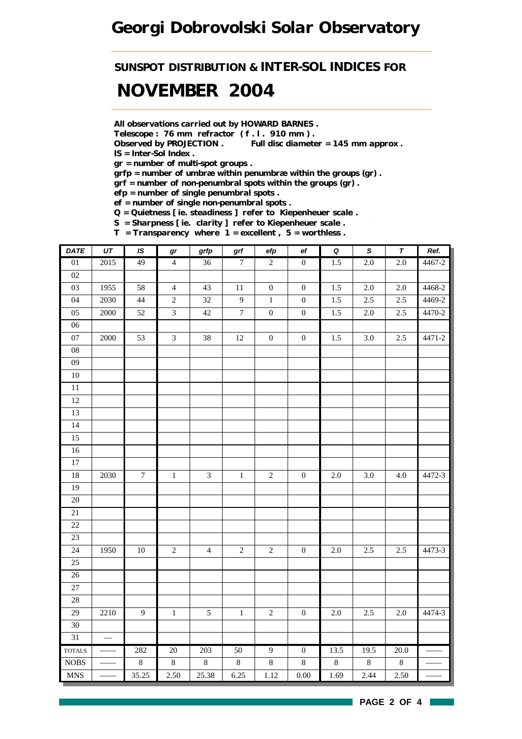## *Georgi Dobrovolski Solar Observatory*

## *SUNSPOT DISTRIBUTION & INTER-SOL INDICES FOR NOVEMBER 2004*

*All observations carried out by HOWARD BARNES .*

*Telescope : 76 mm refractor ( f . l . 910 mm ) .*

*Observed by PROJECTION . Full disc diameter = 145 mm approx . IS = Inter-Sol Index .*

*gr = number of multi-spot groups .*

*grfp = number of umbræ within penumbræ within the groups (gr) .*

*grf = number of non-penumbral spots within the groups (gr) .*

*efp = number of single penumbral spots .*

*ef = number of single non-penumbral spots .*

*Q = Quietness [ ie. steadiness ] refer to Kiepenheuer scale .*

*S = Sharpness [ ie. clarity ] refer to Kiepenheuer scale .*

*T = Transparency where 1 = excellent , 5 = worthless .*

| DATE            | $U\mathcal{T}$           | IS               | gr                      | grfp           | grf              | efp              | $_{\rm ef}$      | $\pmb Q$ | $\pmb{\mathsf{s}}$ | $\pmb{\tau}$ | Ref.   |
|-----------------|--------------------------|------------------|-------------------------|----------------|------------------|------------------|------------------|----------|--------------------|--------------|--------|
| 01              | 2015                     | 49               | $\overline{4}$          | 36             | $\overline{7}$   | $\overline{2}$   | $\overline{0}$   | 1.5      | 2.0                | 2.0          | 4467-2 |
| 02              |                          |                  |                         |                |                  |                  |                  |          |                    |              |        |
| 03              | 1955                     | 58               | $\overline{4}$          | 43             | $11\,$           | $\boldsymbol{0}$ | $\boldsymbol{0}$ | $1.5\,$  | $2.0\,$            | 2.0          | 4468-2 |
| 04              | 2030                     | 44               | $\overline{c}$          | 32             | $\overline{9}$   | $\,1\,$          | $\boldsymbol{0}$ | 1.5      | 2.5                | 2.5          | 4469-2 |
| 05              | 2000                     | 52               | $\overline{\mathbf{3}}$ | $42\,$         | $\boldsymbol{7}$ | $\boldsymbol{0}$ | $\boldsymbol{0}$ | $1.5\,$  | $2.0\,$            | $2.5\,$      | 4470-2 |
| $06\,$          |                          |                  |                         |                |                  |                  |                  |          |                    |              |        |
| $07\,$          | 2000                     | 53               | $\mathfrak{Z}$          | 38             | $12\,$           | $\boldsymbol{0}$ | $\boldsymbol{0}$ | 1.5      | 3.0                | 2.5          | 4471-2 |
| ${\bf 08}$      |                          |                  |                         |                |                  |                  |                  |          |                    |              |        |
| $09\,$          |                          |                  |                         |                |                  |                  |                  |          |                    |              |        |
| $10\,$          |                          |                  |                         |                |                  |                  |                  |          |                    |              |        |
| $11\,$          |                          |                  |                         |                |                  |                  |                  |          |                    |              |        |
| 12              |                          |                  |                         |                |                  |                  |                  |          |                    |              |        |
| 13              |                          |                  |                         |                |                  |                  |                  |          |                    |              |        |
| 14              |                          |                  |                         |                |                  |                  |                  |          |                    |              |        |
| 15              |                          |                  |                         |                |                  |                  |                  |          |                    |              |        |
| 16              |                          |                  |                         |                |                  |                  |                  |          |                    |              |        |
| $\overline{17}$ |                          |                  |                         |                |                  |                  |                  |          |                    |              |        |
| $18\,$          | 2030                     | $\boldsymbol{7}$ | $\,1\,$                 | 3              | $\,1\,$          | $\sqrt{2}$       | $\boldsymbol{0}$ | $2.0\,$  | 3.0                | 4.0          | 4472-3 |
| 19              |                          |                  |                         |                |                  |                  |                  |          |                    |              |        |
| $\overline{20}$ |                          |                  |                         |                |                  |                  |                  |          |                    |              |        |
| $21\,$          |                          |                  |                         |                |                  |                  |                  |          |                    |              |        |
| 22              |                          |                  |                         |                |                  |                  |                  |          |                    |              |        |
| 23              |                          |                  |                         |                |                  |                  |                  |          |                    |              |        |
| 24              | 1950                     | $10\,$           | $\sqrt{2}$              | $\overline{4}$ | $\sqrt{2}$       | $\sqrt{2}$       | $\boldsymbol{0}$ | $2.0\,$  | 2.5                | 2.5          | 4473-3 |
| 25              |                          |                  |                         |                |                  |                  |                  |          |                    |              |        |
| $26\,$          |                          |                  |                         |                |                  |                  |                  |          |                    |              |        |
| 27              |                          |                  |                         |                |                  |                  |                  |          |                    |              |        |
| $28\,$          |                          |                  |                         |                |                  |                  |                  |          |                    |              |        |
| $\overline{29}$ | 2210                     | $\overline{9}$   | $\overline{1}$          | $\overline{5}$ | $\overline{1}$   | $\overline{2}$   | $\boldsymbol{0}$ | $2.0\,$  | $2.5\,$            | $2.0\,$      | 4474-3 |
| 30              |                          |                  |                         |                |                  |                  |                  |          |                    |              |        |
| 31              | $\overline{\phantom{m}}$ |                  |                         |                |                  |                  |                  |          |                    |              |        |
| <b>TOTALS</b>   |                          | 282              | 20                      | 203            | 50               | $\overline{9}$   | $\overline{0}$   | 13.5     | 19.5               | 20.0         |        |
| $\rm{NOBS}$     |                          | $\,8\,$          | $\,8\,$                 | $8\,$          | $\,8\,$          | $\,8\,$          | $8\,$            | $8\,$    | $8\,$              | $8\,$        |        |
| <b>MNS</b>      |                          | 35.25            | 2.50                    | 25.38          | 6.25             | 1.12             | $0.00\,$         | 1.69     | 2.44               | 2.50         |        |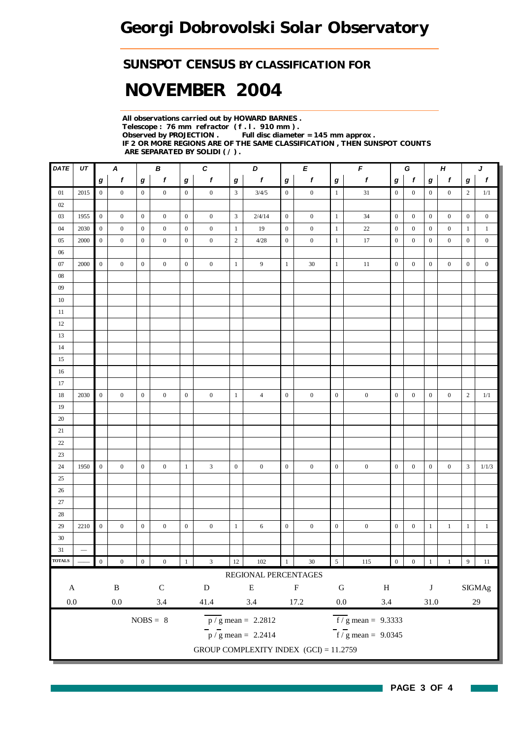### *SUNSPOT CENSUS BY CLASSIFICATION FOR*

# *NOVEMBER 2004*

*All observations carried out by HOWARD BARNES . Telescope : 76 mm refractor ( f . l . 910 mm ) . Full disc diameter = 145 mm approx . IF 2 OR MORE REGIONS ARE OF THE SAME CLASSIFICATION , THEN SUNSPOT COUNTS ARE SEPARATED BY SOLIDI ( / ) .*

| DATE                       | UT                       |                  | $\boldsymbol{A}$ |                  | В                |                  | $\boldsymbol{c}$            | D<br>$\pmb{E}$   |                                           | $\pmb{\digamma}$ |                  |                  | G                               |                  | $\boldsymbol{H}$ |                  | J                |                  |                  |
|----------------------------|--------------------------|------------------|------------------|------------------|------------------|------------------|-----------------------------|------------------|-------------------------------------------|------------------|------------------|------------------|---------------------------------|------------------|------------------|------------------|------------------|------------------|------------------|
|                            |                          | $\boldsymbol{g}$ | $\boldsymbol{f}$ | $\bm{g}$         | $\boldsymbol{f}$ | $\bm{g}$         | $\pmb{f}$                   | $\bm{g}$         | $\boldsymbol{f}$                          | $\bm{g}$         | $\pmb{f}$        | $\boldsymbol{g}$ | $\pmb{f}$                       | $\bm{g}$         | $\mathbf{f}$     | g                | $\pmb{f}$        | $\boldsymbol{g}$ | $\mathbf{f}$     |
| 01                         | 2015                     | $\overline{0}$   | $\overline{0}$   | $\overline{0}$   | $\overline{0}$   | $\mathbf{0}$     | $\mathbf{0}$                | $\mathfrak{Z}$   | 3/4/5                                     | $\boldsymbol{0}$ | $\boldsymbol{0}$ | $\mathbf{1}$     | $31\,$                          | $\overline{0}$   | $\overline{0}$   | $\mathbf{0}$     | $\overline{0}$   | 2                | 1/1              |
| 02                         |                          |                  |                  |                  |                  |                  |                             |                  |                                           |                  |                  |                  |                                 |                  |                  |                  |                  |                  |                  |
| $03\,$                     | 1955                     | $\overline{0}$   | $\boldsymbol{0}$ | $\mathbf{0}$     | $\boldsymbol{0}$ | $\overline{0}$   | $\boldsymbol{0}$            | $\mathbf{3}$     | 2/4/14                                    | $\boldsymbol{0}$ | $\boldsymbol{0}$ | $\mathbf{1}$     | 34                              | $\boldsymbol{0}$ | $\boldsymbol{0}$ | $\boldsymbol{0}$ | $\boldsymbol{0}$ | $\mathbf{0}$     | $\boldsymbol{0}$ |
| $04\,$                     | 2030                     | $\mathbf{0}$     | $\boldsymbol{0}$ | $\boldsymbol{0}$ | $\boldsymbol{0}$ | $\boldsymbol{0}$ | $\boldsymbol{0}$            | $\mathbf{1}$     | 19                                        | $\boldsymbol{0}$ | $\boldsymbol{0}$ | $\mathbf{1}$     | $22\,$                          | $\boldsymbol{0}$ | $\boldsymbol{0}$ | $\boldsymbol{0}$ | $\boldsymbol{0}$ | $\mathbf{1}$     | $\mathbf{1}$     |
| 05                         | 2000                     | $\boldsymbol{0}$ | $\mathbf{0}$     | $\boldsymbol{0}$ | $\mathbf{0}$     | $\boldsymbol{0}$ | $\boldsymbol{0}$            | $\overline{2}$   | 4/28                                      | $\boldsymbol{0}$ | $\boldsymbol{0}$ | $\mathbf{1}$     | 17                              | $\boldsymbol{0}$ | $\mathbf{0}$     | $\mathbf{0}$     | $\mathbf{0}$     | $\boldsymbol{0}$ | $\boldsymbol{0}$ |
| $06\,$                     |                          |                  |                  |                  |                  |                  |                             |                  |                                           |                  |                  |                  |                                 |                  |                  |                  |                  |                  |                  |
| 07                         | 2000                     | $\mathbf{0}$     | $\boldsymbol{0}$ | $\mathbf{0}$     | $\boldsymbol{0}$ | $\overline{0}$   | $\boldsymbol{0}$            | $\mathbf{1}$     | $\overline{9}$                            | $\mathbf{1}$     | $30\,$           | $\mathbf{1}$     | $11\,$                          | $\boldsymbol{0}$ | $\boldsymbol{0}$ | $\boldsymbol{0}$ | $\boldsymbol{0}$ | $\boldsymbol{0}$ | $\boldsymbol{0}$ |
| $08\,$                     |                          |                  |                  |                  |                  |                  |                             |                  |                                           |                  |                  |                  |                                 |                  |                  |                  |                  |                  |                  |
| $09\,$                     |                          |                  |                  |                  |                  |                  |                             |                  |                                           |                  |                  |                  |                                 |                  |                  |                  |                  |                  |                  |
| $10\,$                     |                          |                  |                  |                  |                  |                  |                             |                  |                                           |                  |                  |                  |                                 |                  |                  |                  |                  |                  |                  |
| 11                         |                          |                  |                  |                  |                  |                  |                             |                  |                                           |                  |                  |                  |                                 |                  |                  |                  |                  |                  |                  |
| 12                         |                          |                  |                  |                  |                  |                  |                             |                  |                                           |                  |                  |                  |                                 |                  |                  |                  |                  |                  |                  |
| $13\,$                     |                          |                  |                  |                  |                  |                  |                             |                  |                                           |                  |                  |                  |                                 |                  |                  |                  |                  |                  |                  |
| 14                         |                          |                  |                  |                  |                  |                  |                             |                  |                                           |                  |                  |                  |                                 |                  |                  |                  |                  |                  |                  |
| 15                         |                          |                  |                  |                  |                  |                  |                             |                  |                                           |                  |                  |                  |                                 |                  |                  |                  |                  |                  |                  |
| 16                         |                          |                  |                  |                  |                  |                  |                             |                  |                                           |                  |                  |                  |                                 |                  |                  |                  |                  |                  |                  |
| 17                         |                          |                  |                  |                  |                  |                  |                             |                  |                                           |                  |                  |                  |                                 |                  |                  |                  |                  |                  |                  |
| 18                         | 2030                     | $\overline{0}$   | $\boldsymbol{0}$ | $\boldsymbol{0}$ | $\boldsymbol{0}$ | $\overline{0}$   | $\boldsymbol{0}$            | $\mathbf{1}$     | $\overline{4}$                            | $\boldsymbol{0}$ | $\boldsymbol{0}$ | $\boldsymbol{0}$ | $\boldsymbol{0}$                | $\boldsymbol{0}$ | $\boldsymbol{0}$ | $\boldsymbol{0}$ | $\boldsymbol{0}$ | $\mathbf{2}$     | 1/1              |
| 19                         |                          |                  |                  |                  |                  |                  |                             |                  |                                           |                  |                  |                  |                                 |                  |                  |                  |                  |                  |                  |
| 20                         |                          |                  |                  |                  |                  |                  |                             |                  |                                           |                  |                  |                  |                                 |                  |                  |                  |                  |                  |                  |
| 21                         |                          |                  |                  |                  |                  |                  |                             |                  |                                           |                  |                  |                  |                                 |                  |                  |                  |                  |                  |                  |
| $22\,$                     |                          |                  |                  |                  |                  |                  |                             |                  |                                           |                  |                  |                  |                                 |                  |                  |                  |                  |                  |                  |
| 23                         |                          |                  |                  |                  |                  |                  |                             |                  |                                           |                  |                  |                  |                                 |                  |                  |                  |                  |                  |                  |
| 24                         | 1950                     | $\mathbf{0}$     | $\boldsymbol{0}$ | $\mathbf{0}$     | $\mathbf{0}$     | $\mathbf{1}$     | $\mathfrak{Z}$              | $\boldsymbol{0}$ | $\boldsymbol{0}$                          | $\boldsymbol{0}$ | $\boldsymbol{0}$ | $\boldsymbol{0}$ | $\boldsymbol{0}$                | $\boldsymbol{0}$ | $\mathbf{0}$     | $\boldsymbol{0}$ | $\boldsymbol{0}$ | $\mathfrak{Z}$   | 1/1/3            |
| 25                         |                          |                  |                  |                  |                  |                  |                             |                  |                                           |                  |                  |                  |                                 |                  |                  |                  |                  |                  |                  |
| $26\,$                     |                          |                  |                  |                  |                  |                  |                             |                  |                                           |                  |                  |                  |                                 |                  |                  |                  |                  |                  |                  |
| 27                         |                          |                  |                  |                  |                  |                  |                             |                  |                                           |                  |                  |                  |                                 |                  |                  |                  |                  |                  |                  |
| 28                         |                          |                  |                  |                  |                  |                  |                             |                  |                                           |                  |                  |                  |                                 |                  |                  |                  |                  |                  |                  |
| 29                         | 2210                     | $\boldsymbol{0}$ | $\boldsymbol{0}$ | $\boldsymbol{0}$ | $\boldsymbol{0}$ | $\boldsymbol{0}$ | $\boldsymbol{0}$            | $\mathbf{1}$     | 6                                         | $\boldsymbol{0}$ | $\boldsymbol{0}$ | $\boldsymbol{0}$ | $\boldsymbol{0}$                | $\boldsymbol{0}$ | $\boldsymbol{0}$ | $\mathbf{1}$     | $\mathbf{1}$     | $\mathbf{1}$     | $\mathbf{1}$     |
| $30\,$                     |                          |                  |                  |                  |                  |                  |                             |                  |                                           |                  |                  |                  |                                 |                  |                  |                  |                  |                  |                  |
| $31\,$                     | $\overline{\phantom{0}}$ |                  |                  |                  |                  |                  |                             |                  |                                           |                  |                  |                  |                                 |                  |                  |                  |                  |                  |                  |
| $\overline{\text{TOTALS}}$ |                          | $\boldsymbol{0}$ | $\boldsymbol{0}$ | $\boldsymbol{0}$ | $\boldsymbol{0}$ | $\mathbf{1}$     | $\ensuremath{\mathfrak{Z}}$ | 12               | 102                                       | $\,1\,$          | $30\,$           | $\overline{5}$   | 115                             | $\boldsymbol{0}$ | $\boldsymbol{0}$ | $\mathbf{1}$     | 1                | $\boldsymbol{9}$ | $11\,$           |
|                            |                          |                  |                  |                  |                  |                  |                             |                  | REGIONAL PERCENTAGES                      |                  |                  |                  |                                 |                  |                  |                  |                  |                  |                  |
| $\mathbf{A}$               |                          |                  | $\, {\bf B}$     |                  | ${\bf C}$        |                  | ${\bf D}$                   |                  | ${\bf E}$                                 |                  | ${\bf F}$        | ${\bf G}$        | $\, {\rm H}$                    |                  |                  | $\bf J$          |                  |                  | SIGMAg           |
|                            |                          |                  |                  |                  |                  |                  |                             |                  |                                           |                  |                  |                  |                                 |                  |                  |                  |                  |                  |                  |
| $0.0\,$                    |                          |                  | $0.0\,$          |                  | $3.4\,$          |                  | 41.4                        |                  | $3.4\,$                                   |                  | 17.2             | $0.0\,$          | 3.4                             |                  |                  | $31.0\,$         |                  |                  | $29\,$           |
|                            |                          |                  |                  |                  | $NOBS = 8$       |                  |                             |                  | $\frac{\text{p}}{\text{s}}$ mean = 2.2812 |                  |                  |                  | $f/g$ mean = 9.3333             |                  |                  |                  |                  |                  |                  |
|                            |                          |                  |                  |                  |                  |                  |                             |                  | $\frac{1}{p}$ / g mean = 2.2414           |                  |                  |                  | $\frac{1}{f}$ / g mean = 9.0345 |                  |                  |                  |                  |                  |                  |
|                            |                          |                  |                  |                  |                  |                  |                             |                  | GROUP COMPLEXITY INDEX $(GCI) = 11.2759$  |                  |                  |                  |                                 |                  |                  |                  |                  |                  |                  |
|                            |                          |                  |                  |                  |                  |                  |                             |                  |                                           |                  |                  |                  |                                 |                  |                  |                  |                  |                  |                  |